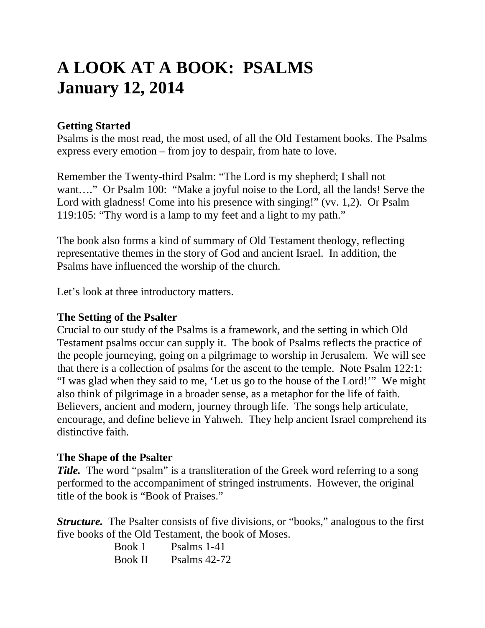# **A LOOK AT A BOOK: PSALMS January 12, 2014**

# **Getting Started**

Psalms is the most read, the most used, of all the Old Testament books. The Psalms express every emotion – from joy to despair, from hate to love.

Remember the Twenty-third Psalm: "The Lord is my shepherd; I shall not want...." Or Psalm 100: "Make a joyful noise to the Lord, all the lands! Serve the Lord with gladness! Come into his presence with singing!" (vv. 1,2). Or Psalm 119:105: "Thy word is a lamp to my feet and a light to my path."

The book also forms a kind of summary of Old Testament theology, reflecting representative themes in the story of God and ancient Israel. In addition, the Psalms have influenced the worship of the church.

Let's look at three introductory matters.

## **The Setting of the Psalter**

Crucial to our study of the Psalms is a framework, and the setting in which Old Testament psalms occur can supply it. The book of Psalms reflects the practice of the people journeying, going on a pilgrimage to worship in Jerusalem. We will see that there is a collection of psalms for the ascent to the temple. Note Psalm 122:1: "I was glad when they said to me, 'Let us go to the house of the Lord!'" We might also think of pilgrimage in a broader sense, as a metaphor for the life of faith. Believers, ancient and modern, journey through life. The songs help articulate, encourage, and define believe in Yahweh. They help ancient Israel comprehend its distinctive faith.

## **The Shape of the Psalter**

*Title.* The word "psalm" is a transliteration of the Greek word referring to a song performed to the accompaniment of stringed instruments. However, the original title of the book is "Book of Praises."

*Structure.* The Psalter consists of five divisions, or "books," analogous to the first five books of the Old Testament, the book of Moses.

| Book 1         | Psalms 1-41    |
|----------------|----------------|
| <b>Book II</b> | Psalms $42-72$ |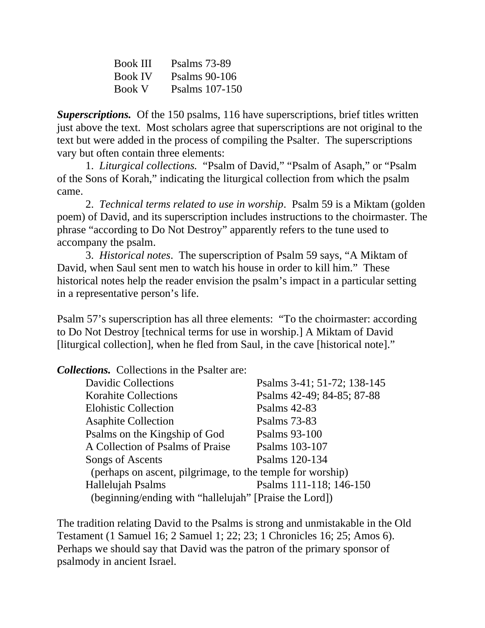| <b>Book III</b> | <b>Psalms</b> 73-89 |
|-----------------|---------------------|
| <b>Book IV</b>  | Psalms 90-106       |
| <b>Book V</b>   | Psalms 107-150      |

*Superscriptions.* Of the 150 psalms, 116 have superscriptions, brief titles written just above the text. Most scholars agree that superscriptions are not original to the text but were added in the process of compiling the Psalter. The superscriptions vary but often contain three elements:

 1. *Liturgical collections.* "Psalm of David," "Psalm of Asaph," or "Psalm of the Sons of Korah," indicating the liturgical collection from which the psalm came.

 2. *Technical terms related to use in worship*. Psalm 59 is a Miktam (golden poem) of David, and its superscription includes instructions to the choirmaster. The phrase "according to Do Not Destroy" apparently refers to the tune used to accompany the psalm.

 3. *Historical notes*. The superscription of Psalm 59 says, "A Miktam of David, when Saul sent men to watch his house in order to kill him." These historical notes help the reader envision the psalm's impact in a particular setting in a representative person's life.

Psalm 57's superscription has all three elements: "To the choirmaster: according to Do Not Destroy [technical terms for use in worship.] A Miktam of David [liturgical collection], when he fled from Saul, in the cave [historical note]."

*Collections.* Collections in the Psalter are:

| <b>Davidic Collections</b>                                 | Psalms 3-41; 51-72; 138-145 |
|------------------------------------------------------------|-----------------------------|
| <b>Korahite Collections</b>                                | Psalms 42-49; 84-85; 87-88  |
| <b>Elohistic Collection</b>                                | Psalms 42-83                |
| <b>Asaphite Collection</b>                                 | <b>Psalms</b> 73-83         |
| Psalms on the Kingship of God                              | Psalms 93-100               |
| A Collection of Psalms of Praise                           | Psalms 103-107              |
| Songs of Ascents                                           | Psalms 120-134              |
| (perhaps on ascent, pilgrimage, to the temple for worship) |                             |
| Hallelujah Psalms                                          | Psalms 111-118; 146-150     |
| (beginning/ending with "hallelujah" [Praise the Lord])     |                             |

The tradition relating David to the Psalms is strong and unmistakable in the Old Testament (1 Samuel 16; 2 Samuel 1; 22; 23; 1 Chronicles 16; 25; Amos 6). Perhaps we should say that David was the patron of the primary sponsor of psalmody in ancient Israel.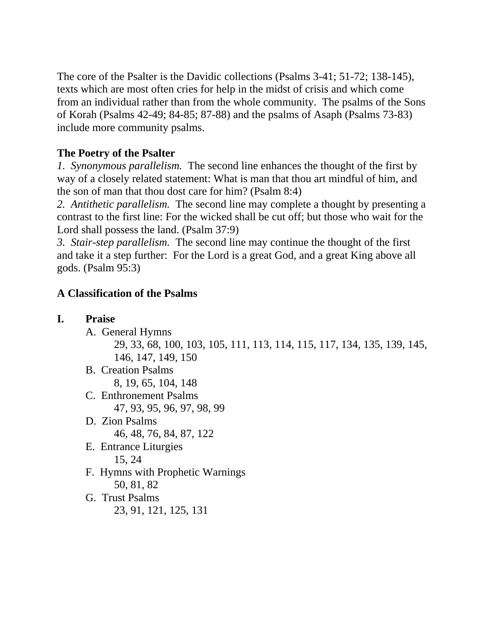The core of the Psalter is the Davidic collections (Psalms 3-41; 51-72; 138-145), texts which are most often cries for help in the midst of crisis and which come from an individual rather than from the whole community. The psalms of the Sons of Korah (Psalms 42-49; 84-85; 87-88) and the psalms of Asaph (Psalms 73-83) include more community psalms.

# **The Poetry of the Psalter**

*1. Synonymous parallelism.* The second line enhances the thought of the first by way of a closely related statement: What is man that thou art mindful of him, and the son of man that thou dost care for him? (Psalm 8:4)

*2. Antithetic parallelism.* The second line may complete a thought by presenting a contrast to the first line: For the wicked shall be cut off; but those who wait for the Lord shall possess the land. (Psalm 37:9)

*3. Stair-step parallelism.* The second line may continue the thought of the first and take it a step further: For the Lord is a great God, and a great King above all gods. (Psalm 95:3)

# **A Classification of the Psalms**

| <b>Praise</b>                                                           |
|-------------------------------------------------------------------------|
| A. General Hymns                                                        |
| 29, 33, 68, 100, 103, 105, 111, 113, 114, 115, 117, 134, 135, 139, 145, |
| 146, 147, 149, 150                                                      |
| <b>B.</b> Creation Psalms                                               |
| 8, 19, 65, 104, 148                                                     |
| C. Enthronement Psalms                                                  |
| 47, 93, 95, 96, 97, 98, 99                                              |
| D. Zion Psalms                                                          |
| 46, 48, 76, 84, 87, 122                                                 |
| E. Entrance Liturgies                                                   |
| 15, 24                                                                  |
| F. Hymns with Prophetic Warnings                                        |
| 50, 81, 82                                                              |
| G. Trust Psalms                                                         |
| 23, 91, 121, 125, 131                                                   |
|                                                                         |